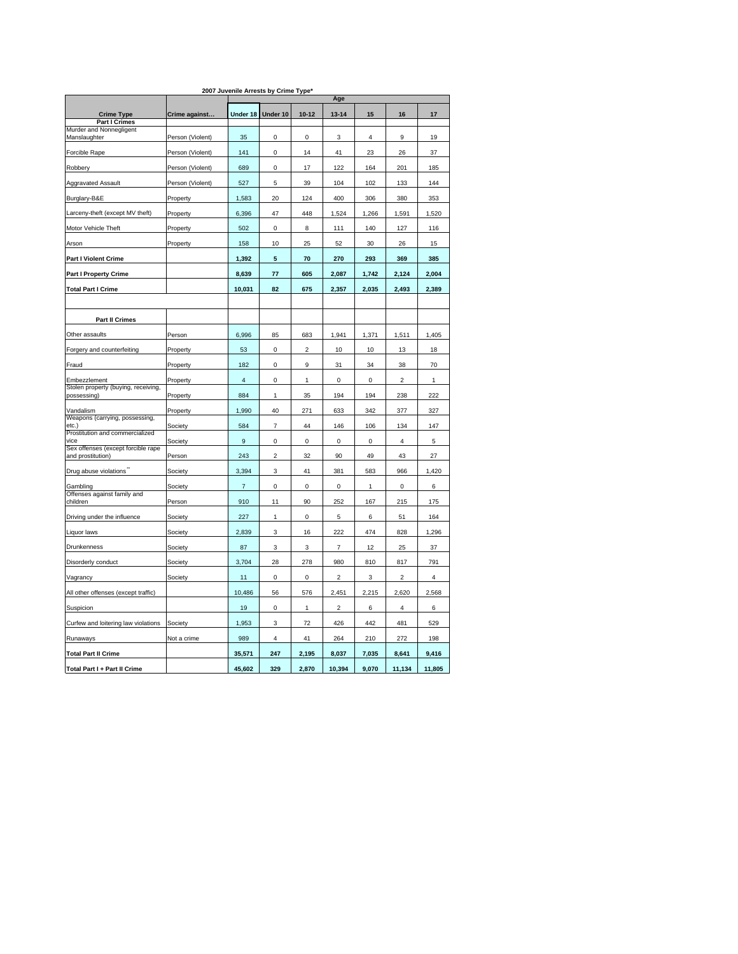| 2007 Juvenile Arrests by Crime Type*                               |                  |                         |                         |              |                |             |                |        |  |  |
|--------------------------------------------------------------------|------------------|-------------------------|-------------------------|--------------|----------------|-------------|----------------|--------|--|--|
|                                                                    |                  | Age                     |                         |              |                |             |                |        |  |  |
| <b>Crime Type</b><br><b>Part I Crimes</b>                          | Crime against    | Under 18                | Under 10                | $10 - 12$    | $13 - 14$      | 15          | 16             | 17     |  |  |
| Murder and Nonnegligent<br>Manslaughter                            | Person (Violent) | 35                      | 0                       | 0            | 3              | 4           | 9              | 19     |  |  |
|                                                                    |                  |                         |                         |              |                |             |                |        |  |  |
| Forcible Rape                                                      | Person (Violent) | 141                     | 0                       | 14           | 41             | 23          | 26             | 37     |  |  |
| Robbery                                                            | Person (Violent) | 689                     | 0                       | 17           | 122            | 164         | 201            | 185    |  |  |
| <b>Aggravated Assault</b>                                          | Person (Violent) | 527                     | 5                       | 39           | 104            | 102         | 133            | 144    |  |  |
| Burglary-B&E                                                       | Property         | 1,583                   | 20                      | 124          | 400            | 306         | 380            | 353    |  |  |
| Larceny-theft (except MV theft)                                    | Property         | 6,396                   | 47                      | 448          | 1,524          | 1,266       | 1,591          | 1,520  |  |  |
| Motor Vehicle Theft                                                | Property         | 502                     | 0                       | 8            | 111            | 140         | 127            | 116    |  |  |
| Arson                                                              | Property         | 158                     | 10                      | 25           | 52             | 30          | 26             | 15     |  |  |
| <b>Part I Violent Crime</b>                                        |                  | 1,392                   | 5                       | 70           | 270            | 293         | 369            | 385    |  |  |
| <b>Part I Property Crime</b>                                       |                  | 8,639                   | 77                      | 605          | 2,087          | 1,742       | 2,124          | 2,004  |  |  |
| <b>Total Part I Crime</b>                                          |                  | 10,031                  | 82                      | 675          | 2,357          | 2,035       | 2,493          | 2,389  |  |  |
|                                                                    |                  |                         |                         |              |                |             |                |        |  |  |
| Part II Crimes                                                     |                  |                         |                         |              |                |             |                |        |  |  |
| Other assaults                                                     | Person           | 6,996                   | 85                      | 683          | 1,941          | 1,371       | 1,511          | 1,405  |  |  |
| Forgery and counterfeiting                                         | Property         | 53                      | 0                       | 2            | 10             | 10          | 13             | 18     |  |  |
| Fraud                                                              | Property         | 182                     | 0                       | 9            | 31             | 34          | 38             | 70     |  |  |
|                                                                    | Property         | $\overline{\mathbf{4}}$ | 0                       | 1            | 0              | 0           | 2              | 1      |  |  |
| Embezzlement<br>Stolen property (buying, receiving,<br>possessing) |                  | 884                     | 1                       | 35           | 194            | 194         | 238            | 222    |  |  |
|                                                                    | Property         |                         |                         |              |                |             |                |        |  |  |
| Vandalism<br>Weapons (carrying, possessing,                        | Property         | 1,990                   | 40                      | 271          | 633            | 342         | 377            | 327    |  |  |
| etc.)<br>Prostitution and commercialized                           | Society          | 584                     | 7                       | 44           | 146            | 106         | 134            | 147    |  |  |
| vice<br>Sex offenses (except forcible rape                         | Society          | $\mathsf g$             | 0                       | $\mathbf 0$  | $\mathbf 0$    | $\mathbf 0$ | $\overline{4}$ | 5      |  |  |
| and prostitution)                                                  | Person           | 243                     | $\overline{\mathbf{c}}$ | 32           | 90             | 49          | 43             | 27     |  |  |
| Drug abuse violations"                                             | Society          | 3,394                   | 3                       | 41           | 381            | 583         | 966            | 1,420  |  |  |
| Gambling<br>Offenses against family and                            | Society          | $\overline{7}$          | 0                       | 0            | 0              | 1           | 0              | 6      |  |  |
| children                                                           | Person           | 910                     | 11                      | 90           | 252            | 167         | 215            | 175    |  |  |
| Driving under the influence                                        | Society          | 227                     | $\mathbf{1}$            | 0            | 5              | 6           | 51             | 164    |  |  |
| Liquor laws                                                        | Society          | 2,839                   | 3                       | 16           | 222            | 474         | 828            | 1,296  |  |  |
| Drunkenness                                                        | Society          | 87                      | 3                       | 3            | $\overline{7}$ | 12          | 25             | 37     |  |  |
| Disorderly conduct                                                 | <b>Society</b>   | 3,704                   | 28                      | 278          | 980            | 810         | 817            | 791    |  |  |
| Vagrancy                                                           | Society          | 11                      | 0                       | 0            | $\overline{2}$ | 3           | $\overline{2}$ | 4      |  |  |
| All other offenses (except traffic)                                |                  | 10,486                  | 56                      | 576          | 2,451          | 2,215       | 2,620          | 2,568  |  |  |
| Suspicion                                                          |                  | 19                      | 0                       | $\mathbf{1}$ | $\overline{c}$ | 6           | 4              | 6      |  |  |
| Curfew and loitering law violations                                | Society          | 1,953                   | 3                       | 72           | 426            | 442         | 481            | 529    |  |  |
|                                                                    | Not a crime      | 989                     | 4                       | 41           | 264            | 210         | 272            | 198    |  |  |
| Runaways                                                           |                  |                         |                         |              |                |             |                |        |  |  |
| <b>Total Part II Crime</b>                                         |                  | 35,571                  | 247                     | 2,195        | 8,037          | 7,035       | 8,641          | 9,416  |  |  |
| Total Part I + Part II Crime                                       |                  | 45,602                  | 329                     | 2,870        | 10,394         | 9,070       | 11,134         | 11,805 |  |  |